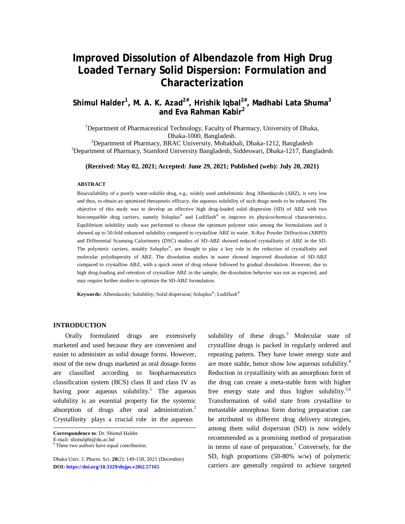# **Improved Dissolution of Albendazole from High Drug Loaded Ternary Solid Dispersion: Formulation and Characterization**

**Shimul Halder<sup>1</sup> , M. A. K. Azad2# , Hrishik Iqbal2# , Madhabi Lata Shuma<sup>3</sup> and Eva Rahman Kabir<sup>2</sup>**

<sup>1</sup>Department of Pharmaceutical Technology, Faculty of Pharmacy, University of Dhaka, Dhaka-1000, Bangladesh.

<sup>2</sup>Department of Pharmacy, BRAC University, Mohakhali, Dhaka-1212, Bangladesh <sup>3</sup>Department of Pharmacy, Stamford University Bangladesh, Siddeswari, Dhaka-1217, Bangladesh

**(Received: May 02, 2021; Accepted: June 29, 2021; Published (web): July 20, 2021)**

#### **ABSTRACT**

Bioavailability of a poorly water-soluble drug, e.g., widely used anthelmintic drug Albendazole (ABZ), is very low and thus, to obtain an optimized therapeutic efficacy, the aqueous solubility of such drugs needs to be enhanced. The objective of this study was to develop an effective high drug-loaded solid dispersion (SD) of ABZ with two biocompatible drug carriers, namely Soluplus® and Ludiflash® to improve its physicochemical characteristics. Equilibrium solubility study was performed to choose the optimum polymer ratio among the formulations and it showed up to 50-fold enhanced solubility compared to crystalline ABZ in water. X-Ray Powder Diffraction (XRPD) and Differential Scanning Calorimetry (DSC) studies of SD-ABZ showed reduced crystallinity of ABZ in the SD. The polymeric carriers, notably Soluplus® , are thought to play a key role in the reduction of crystallinity and molecular polydispersity of ABZ. The dissolution studies in water showed improved dissolution of SD-ABZ compared to crystalline ABZ, with a quick onset of drug release followed by gradual dissolution. However, due to high drug-loading and retention of crystalline ABZ in the sample, the dissolution behavior was not as expected, and may require further studies to optimize the SD-ABZ formulation.

**Keywords:** Albendazole; Solubility; Solid dispersion; Soluplus® ; Ludiflash®

## **INTRODUCTION**

Orally formulated drugs are extensively marketed and used because they are convenient and easier to administer as solid dosage forms. However, most of the new drugs marketed as oral dosage forms are classified according to biopharmaceutics classification system (BCS) class II and class IV as having poor aqueous solubility.<sup>1</sup> The aqueous solubility is an essential property for the systemic absorption of drugs after oral administration.<sup>2</sup> Crystallinity plays a crucial role in the aqueous

**Correspondence to**: Dr. Shimul Halder

E-mail: [shimulpht@du.ac.bd](mailto:shimulpht@du.ac.bd)

solubility of these drugs.<sup>3</sup> Molecular state of crystalline drugs is packed in regularly ordered and repeating pattern. They have lower energy state and are more stable, hence show low aqueous solubility.<sup>4</sup> Reduction in crystallinity with an amorphous form of the drug can create a meta-stable form with higher free energy state and thus higher solubility.<sup>5,6</sup> Transformation of solid state from crystalline to metastable amorphous form during preparation can be attributed to different drug delivery strategies, among them solid dispersion (SD) is now widely recommended as a promising method of preparation in terms of ease of preparation. <sup>7</sup> Conversely, for the SD, high proportions (50-80% w/w) of polymeric carriers are generally required to achieve targeted

<sup>#</sup> These two authors have equal contribution.

Dhaka Univ. J. Pharm. Sci. **20**(2): 149-158, 2021 (December) **DOI:<https://doi.org/10.3329/dujps.v20i2.57165>**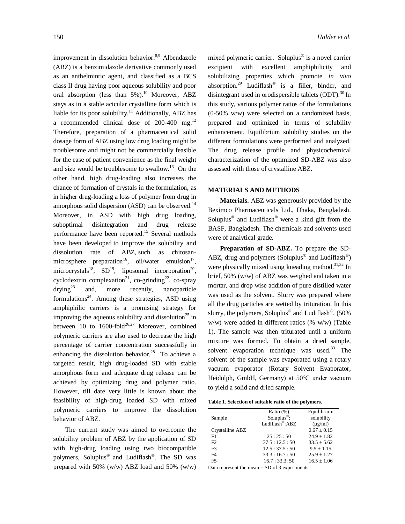improvement in dissolution behavior.<sup>8,9</sup> Albendazole (ABZ) is a benzimidazole derivative commonly used as an anthelmintic agent, and classified as a BCS class II drug having poor aqueous solubility and poor oral absorption (less than  $5\%$ ).<sup>10</sup> Moreover, ABZ stays as in a stable acicular crystalline form which is liable for its poor solubility.<sup>11</sup> Additionally, ABZ has a recommended clinical dose of  $200-400$  mg.<sup>12</sup> Therefore, preparation of a pharmaceutical solid dosage form of ABZ using low drug loading might be troublesome and might not be commercially feasible for the ease of patient convenience as the final weight and size would be troublesome to swallow.<sup>13</sup> On the other hand, high drug-loading also increases the chance of formation of crystals in the formulation, as in higher drug-loading a loss of polymer from drug in amorphous solid dispersion (ASD) can be observed.<sup>14</sup> Moreover, in ASD with high drug loading, suboptimal disintegration and drug release performance have been reported.<sup>15</sup> Several methods have been developed to improve the solubility and dissolution rate of ABZ, such as chitosanmicrosphere preparation<sup>16</sup>, oil/water emulsion<sup>17</sup>, microcrystals<sup>18</sup>, SD<sup>19</sup>, liposomal incorporation<sup>20</sup>, cyclodextrin complexation<sup>21</sup>, co-grinding<sup>22</sup>, co-spray  $drying^{23}$  and, more recently, nanoparticle formulations<sup>24</sup>. Among these strategies, ASD using amphiphilic carriers is a promising strategy for improving the aqueous solubility and dissolution<sup>25</sup> in between 10 to  $1600$ -fold<sup>26,27</sup> Moreover, combined polymeric carriers are also used to decrease the high percentage of carrier concentration successfully in enhancing the dissolution behavior.<sup>28</sup> To achieve a targeted result, high drug-loaded SD with stable amorphous form and adequate drug release can be achieved by optimizing drug and polymer ratio. However, till date very little is known about the feasibility of high-drug loaded SD with mixed polymeric carriers to improve the dissolution behavior of ABZ.

The current study was aimed to overcome the solubility problem of ABZ by the application of SD with high-drug loading using two biocompatible polymers, Soluplus<sup>®</sup> and Ludiflash<sup>®</sup>. The SD was prepared with 50% (w/w) ABZ load and 50% (w/w)

mixed polymeric carrier. Soluplus® is a novel carrier excipient with excellent amphiphilicity and solubilizing properties which promote *in vivo* absorption.<sup>29</sup> Ludiflash<sup>®</sup> is a filler, binder, and disintegrant used in orodispersible tablets (ODT).<sup>30</sup> In this study, various polymer ratios of the formulations (0-50% w/w) were selected on a randomized basis, prepared and optimized in terms of solubility enhancement. Equilibrium solubility studies on the different formulations were performed and analyzed. The drug release profile and physicochemical characterization of the optimized SD-ABZ was also assessed with those of crystalline ABZ.

#### **MATERIALS AND METHODS**

**Materials.** ABZ was generously provided by the Beximco Pharmaceuticals Ltd., Dhaka, Bangladesh. Soluplus<sup>®</sup> and Ludiflash<sup>®</sup> were a kind gift from the BASF, Bangladesh. The chemicals and solvents used were of analytical grade.

**Preparation of SD-ABZ.** To prepare the SD-ABZ, drug and polymers (Soluplus® and Ludiflash®) were physically mixed using kneading method.<sup>31,32</sup> In brief, 50% (w/w) of ABZ was weighed and taken in a mortar, and drop wise addition of pure distilled water was used as the solvent. Slurry was prepared where all the drug particles are wetted by trituration. In this slurry, the polymers, Soluplus® and Ludiflash®, (50% w/w) were added in different ratios (% w/w) (Table 1). The sample was then triturated until a uniform mixture was formed. To obtain a dried sample, solvent evaporation technique was used. $33$  The solvent of the sample was evaporated using a rotary vacuum evaporator (Rotary Solvent Evaporator, Heidolph, GmbH, Germany) at 50℃ under vacuum to yield a solid and dried sample.

**Table 1. Selection of suitable ratio of the polymers.**

|                 | Ratio $(\%)$                | Equilibrium     |
|-----------------|-----------------------------|-----------------|
| Sample          | $Soluplus^{\circledR}$ :    | solubility      |
|                 | Ludiflash <sup>®</sup> :ABZ | $(\mu g/ml)$    |
| Crystalline ABZ |                             | $0.67 \pm 0.15$ |
| F1              | 25:25:50                    | $24.9 + 1.82$   |
| F2              | 37.5:12.5:50                | $33.5 + 5.62$   |
| F <sub>3</sub>  | 12.5:37.5:50                | $9.5 \pm 1.15$  |
| F <sub>4</sub>  | 33.3:16.7:50                | $25.9 \pm 1.27$ |
| F5              | 16.7:33.3:50                | $16.5 \pm 1.06$ |
|                 |                             |                 |

Data represent the mean  $\pm$  SD of 3 experiments.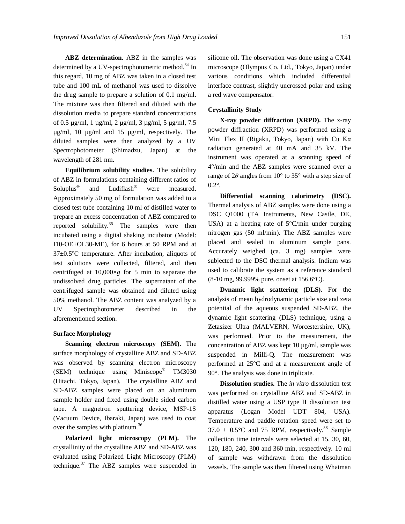**ABZ determination.** ABZ in the samples was determined by a UV-spectrophotometric method.<sup>34</sup> In this regard, 10 mg of ABZ was taken in a closed test tube and 100 mL of methanol was used to dissolve the drug sample to prepare a solution of 0.1 mg/ml. The mixture was then filtered and diluted with the dissolution media to prepare standard concentrations of 0.5 µg/ml, 1 µg/ml, 2 µg/ml, 3 µg/ml, 5 µg/ml, 7.5 µg/ml, 10 µg/ml and 15 µg/ml, respectively. The diluted samples were then analyzed by a UV Spectrophotometer (Shimadzu, Japan) at the wavelength of 281 nm.

**Equilibrium solubility studies.** The solubility of ABZ in formulations containing different ratios of Soluplus® and Ludiflash® were measured. Approximately 50 mg of formulation was added to a closed test tube containing 10 ml of distilled water to prepare an excess concentration of ABZ compared to reported solubility.<sup>35</sup> The samples were then incubated using a digital shaking incubator (Model: I10-OE+OL30-ME), for 6 hours at 50 RPM and at 37±0.5℃ temperature. After incubation, aliquots of test solutions were collected, filtered, and then centrifuged at 10,000×*g* for 5 min to separate the undissolved drug particles. The supernatant of the centrifuged sample was obtained and diluted using 50% methanol. The ABZ content was analyzed by a UV Spectrophotometer described in the aforementioned section.

#### **Surface Morphology**

**Scanning electron microscopy (SEM).** The surface morphology of crystalline ABZ and SD-ABZ was observed by scanning electron microscopy (SEM) technique using Miniscope® TM3030 (Hitachi, Tokyo, Japan). The crystalline ABZ and SD-ABZ samples were placed on an aluminum sample holder and fixed using double sided carbon tape. A magnetron sputtering device, MSP-1S (Vacuum Device, Ibaraki, Japan) was used to coat over the samples with platinum.<sup>36</sup>

**Polarized light microscopy (PLM).** The crystallinity of the crystalline ABZ and SD-ABZ was evaluated using Polarized Light Microscopy (PLM) technique. $37$  The ABZ samples were suspended in silicone oil. The observation was done using a CX41 microscope (Olympus Co. Ltd., Tokyo, Japan) under various conditions which included differential interface contrast, slightly uncrossed polar and using a red wave compensator.

### **Crystallinity Study**

**X-ray powder diffraction (XRPD).** The x-ray powder diffraction (XRPD) was performed using a Mini Flex II (Rigaku, Tokyo, Japan) with Cu Kα radiation generated at 40 mA and 35 kV. The instrument was operated at a scanning speed of 4°/min and the ABZ samples were scanned over a range of 2*θ* angles from 10° to 35° with a step size of 0.2°.

**Differential scanning calorimetry (DSC).**  Thermal analysis of ABZ samples were done using a DSC Q1000 (TA Instruments, New Castle, DE, USA) at a heating rate of 5°C/min under purging nitrogen gas (50 ml/min). The ABZ samples were placed and sealed in aluminum sample pans. Accurately weighed (ca. 3 mg) samples were subjected to the DSC thermal analysis. Indium was used to calibrate the system as a reference standard (8-10 mg, 99.999% pure, onset at 156.6°C).

**Dynamic light scattering (DLS).** For the analysis of mean hydrodynamic particle size and zeta potential of the aqueous suspended SD-ABZ, the dynamic light scattering (DLS) technique, using a Zetasizer Ultra (MALVERN, Worcestershire, UK), was performed. Prior to the measurement, the concentration of ABZ was kept 10 µg/ml, sample was suspended in Milli-Q. The measurement was performed at 25°C and at a measurement angle of 90°. The analysis was done in triplicate.

**Dissolution studies.** The *in vitro* dissolution test was performed on crystalline ABZ and SD-ABZ in distilled water using a USP type II dissolution test apparatus (Logan Model UDT 804, USA). Temperature and paddle rotation speed were set to  $37.0 \pm 0.5^{\circ}$ C and 75 RPM, respectively.<sup>38</sup> Sample collection time intervals were selected at 15, 30, 60, 120, 180, 240, 300 and 360 min, respectively. 10 ml of sample was withdrawn from the dissolution vessels. The sample was then filtered using Whatman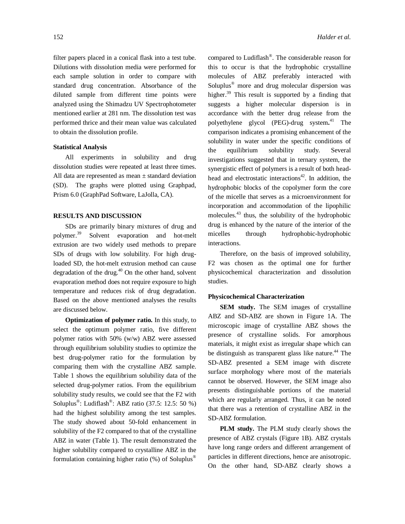filter papers placed in a conical flask into a test tube. Dilutions with dissolution media were performed for each sample solution in order to compare with standard drug concentration. Absorbance of the diluted sample from different time points were analyzed using the Shimadzu UV Spectrophotometer mentioned earlier at 281 nm. The dissolution test was performed thrice and their mean value was calculated to obtain the dissolution profile.

## **Statistical Analysis**

All experiments in solubility and drug dissolution studies were repeated at least three times. All data are represented as mean  $\pm$  standard deviation (SD). The graphs were plotted using Graphpad, Prism 6.0 (GraphPad Software, LaJolla, CA).

## **RESULTS AND DISCUSSION**

SDs are primarily binary mixtures of drug and polymer.<sup>39</sup> Solvent evaporation and hot-melt extrusion are two widely used methods to prepare SDs of drugs with low solubility. For high drugloaded SD, the hot-melt extrusion method can cause degradation of the drug.<sup>40</sup> On the other hand, solvent evaporation method does not require exposure to high temperature and reduces risk of drug degradation. Based on the above mentioned analyses the results are discussed below.

**Optimization of polymer ratio.** In this study, to select the optimum polymer ratio, five different polymer ratios with 50% (w/w) ABZ were assessed through equilibrium solubility studies to optimize the best drug-polymer ratio for the formulation by comparing them with the crystalline ABZ sample. Table 1 shows the equilibrium solubility data of the selected drug-polymer ratios. From the equilibrium solubility study results, we could see that the F2 with Soluplus<sup>®</sup>: Ludiflash<sup>®</sup>: ABZ ratio (37.5: 12.5: 50 %) had the highest solubility among the test samples. The study showed about 50-fold enhancement in solubility of the F2 compared to that of the crystalline ABZ in water (Table 1). The result demonstrated the higher solubility compared to crystalline ABZ in the formulation containing higher ratio (%) of Soluplus®

compared to Ludiflash® . The considerable reason for this to occur is that the hydrophobic crystalline molecules of ABZ preferably interacted with Soluplus® more and drug molecular dispersion was higher.<sup>39</sup> This result is supported by a finding that suggests a higher molecular dispersion is in accordance with the better drug release from the polyethylene glycol (PEG)-drug system**.** <sup>41</sup> The comparison indicates a promising enhancement of the solubility in water under the specific conditions of the equilibrium solubility study. Several investigations suggested that in ternary system, the synergistic effect of polymers is a result of both headhead and electrostatic interactions $42$ . In addition, the hydrophobic blocks of the copolymer form the core of the micelle that serves as a microenvironment for incorporation and accommodation of the lipophilic molecules.<sup>43</sup> thus, the solubility of the hydrophobic drug is enhanced by the nature of the interior of the micelles through hydrophobic-hydrophobic interactions.

Therefore, on the basis of improved solubility, F2 was chosen as the optimal one for further physicochemical characterization and dissolution studies.

# **Physicochemical Characterization**

**SEM study.** The SEM images of crystalline ABZ and SD-ABZ are shown in Figure 1A. The microscopic image of crystalline ABZ shows the presence of crystalline solids. For amorphous materials, it might exist as irregular shape which can be distinguish as transparent glass like nature. <sup>44</sup> The SD-ABZ presented a SEM image with discrete surface morphology where most of the materials cannot be observed. However, the SEM image also presents distinguishable portions of the material which are regularly arranged. Thus, it can be noted that there was a retention of crystalline ABZ in the SD-ABZ formulation.

**PLM study.** The PLM study clearly shows the presence of ABZ crystals (Figure 1B). ABZ crystals have long range orders and different arrangement of particles in different directions, hence are anisotropic. On the other hand, SD-ABZ clearly shows a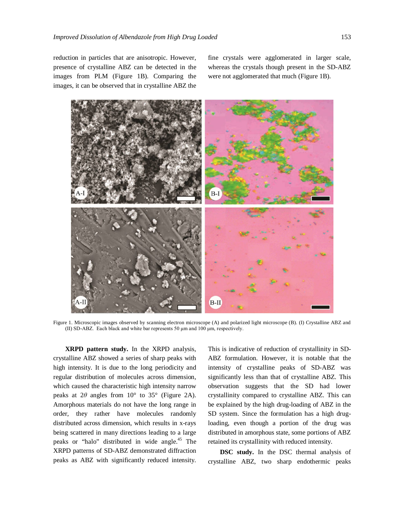reduction in particles that are anisotropic. However, presence of crystalline ABZ can be detected in the images from PLM (Figure 1B). Comparing the images, it can be observed that in crystalline ABZ the

fine crystals were agglomerated in larger scale, whereas the crystals though present in the SD-ABZ were not agglomerated that much (Figure 1B).



Figure 1. Microscopic images observed by scanning electron microscope (A) and polarized light microscope (B). (I) Crystalline ABZ and (II) SD-ABZ. Each black and white bar represents 50 μm and 100 μm, respectively.

**XRPD pattern study.** In the XRPD analysis, crystalline ABZ showed a series of sharp peaks with high intensity. It is due to the long periodicity and regular distribution of molecules across dimension, which caused the characteristic high intensity narrow peaks at  $2\theta$  angles from  $10^{\circ}$  to  $35^{\circ}$  (Figure 2A). Amorphous materials do not have the long range in order, they rather have molecules randomly distributed across dimension, which results in x-rays being scattered in many directions leading to a large peaks or "halo" distributed in wide angle.<sup>45</sup> The XRPD patterns of SD-ABZ demonstrated diffraction peaks as ABZ with significantly reduced intensity.

This is indicative of reduction of crystallinity in SD-ABZ formulation. However, it is notable that the intensity of crystalline peaks of SD-ABZ was significantly less than that of crystalline ABZ. This observation suggests that the SD had lower crystallinity compared to crystalline ABZ. This can be explained by the high drug-loading of ABZ in the SD system. Since the formulation has a high drugloading, even though a portion of the drug was distributed in amorphous state, some portions of ABZ retained its crystallinity with reduced intensity.

**DSC study.** In the DSC thermal analysis of crystalline ABZ, two sharp endothermic peaks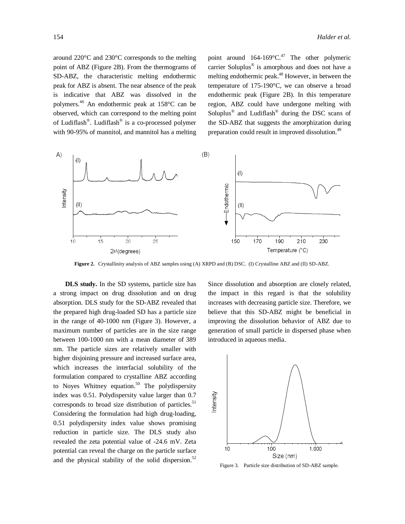around 220°C and 230°C corresponds to the melting point of ABZ (Figure 2B). From the thermograms of SD-ABZ, the characteristic melting endothermic peak for ABZ is absent. The near absence of the peak is indicative that ABZ was dissolved in the polymers.<sup>46</sup> An endothermic peak at 158°C can be observed, which can correspond to the melting point of Ludiflash®. Ludiflash® is a co-processed polymer with 90-95% of mannitol, and mannitol has a melting

point around 164-169°C.<sup>47</sup> The other polymeric carrier Soluplus® is amorphous and does not have a melting endothermic peak.<sup>48</sup> However, in between the temperature of 175-190°C, we can observe a broad endothermic peak (Figure 2B). In this temperature region, ABZ could have undergone melting with Soluplus<sup>®</sup> and Ludiflash<sup>®</sup> during the DSC scans of the SD-ABZ that suggests the amorphization during preparation could result in improved dissolution.<sup>49</sup>



**Figure 2.** Crystallinity analysis of ABZ samples using (A) XRPD and (B) DSC. (I) Crystalline ABZ and (II) SD-ABZ.

**DLS study.** In the SD systems, particle size has a strong impact on drug dissolution and on drug absorption. DLS study for the SD-ABZ revealed that the prepared high drug-loaded SD has a particle size in the range of 40-1000 nm (Figure 3). However, a maximum number of particles are in the size range between 100-1000 nm with a mean diameter of 389 nm. The particle sizes are relatively smaller with higher disjoining pressure and increased surface area, which increases the interfacial solubility of the formulation compared to crystalline ABZ according to Noyes Whitney equation. <sup>50</sup> The polydispersity index was 0.51. Polydispersity value larger than 0.7 corresponds to broad size distribution of particles. $51$ Considering the formulation had high drug-loading, 0.51 polydispersity index value shows promising reduction in particle size. The DLS study also revealed the zeta potential value of -24.6 mV. Zeta potential can reveal the charge on the particle surface and the physical stability of the solid dispersion.<sup>52</sup>

Since dissolution and absorption are closely related, the impact in this regard is that the solubility increases with decreasing particle size. Therefore, we believe that this SD-ABZ might be beneficial in improving the dissolution behavior of ABZ due to generation of small particle in dispersed phase when introduced in aqueous media.



Figure 3. Particle size distribution of SD-ABZ sample.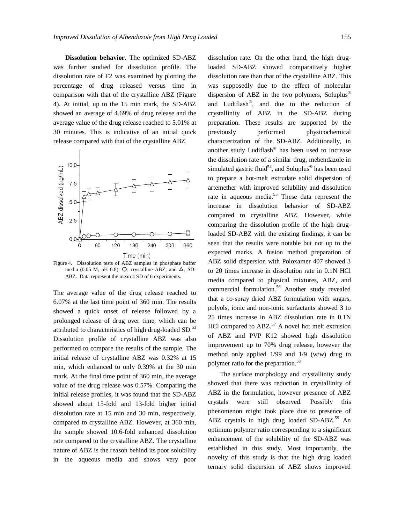**Dissolution behavior.** The optimized SD-ABZ was further studied for dissolution profile. The dissolution rate of F2 was examined by plotting the percentage of drug released versus time in comparison with that of the crystalline ABZ (Figure 4). At initial, up to the 15 min mark, the SD-ABZ showed an average of 4.69% of drug release and the average value of the drug release reached to 5.01% at 30 minutes. This is indicative of an initial quick release compared with that of the crystalline ABZ.



Figure 4. Dissolution tests of ABZ samples in phosphate buffer media (0.05 M, pH 6.8).  $O$ , crystalline ABZ; and  $\Delta$ , SD-ABZ. Data represent the mean ± SD of 6 experiments.

The average value of the drug release reached to 6.07% at the last time point of 360 min. The results showed a quick onset of release followed by a prolonged release of drug over time, which can be attributed to characteristics of high drug-loaded SD.<sup>53</sup> Dissolution profile of crystalline ABZ was also performed to compare the results of the sample. The initial release of crystalline ABZ was 0.32% at 15 min, which enhanced to only 0.39% at the 30 min mark. At the final time point of 360 min, the average value of the drug release was 0.57%. Comparing the initial release profiles, it was found that the SD-ABZ showed about 15-fold and 13-fold higher initial dissolution rate at 15 min and 30 min, respectively, compared to crystalline ABZ. However, at 360 min, the sample showed 10.6-fold enhanced dissolution rate compared to the crystalline ABZ. The crystalline nature of ABZ is the reason behind its poor solubility in the aqueous media and shows very poor dissolution rate. On the other hand, the high drugloaded SD-ABZ showed comparatively higher dissolution rate than that of the crystalline ABZ. This was supposedly due to the effect of molecular dispersion of ABZ in the two polymers, Soluplus® and Ludiflash® , and due to the reduction of crystallinity of ABZ in the SD-ABZ during preparation. These results are supported by the previously performed physicochemical characterization of the SD-ABZ. Additionally, in another study Ludiflash® has been used to increase the dissolution rate of a similar drug, mebendazole in simulated gastric fluid<sup>54</sup>, and Soluplus<sup>®</sup> has been used to prepare a hot-melt extrudate solid dispersion of artemether with improved solubility and dissolution rate in aqueous media.<sup>55</sup> These data represent the increase in dissolution behavior of SD-ABZ compared to crystalline ABZ. However, while comparing the dissolution profile of the high drugloaded SD-ABZ with the existing findings, it can be seen that the results were notable but not up to the expected marks. A fusion method preparation of ABZ solid dispersion with Poloxamer 407 showed 3 to 20 times increase in dissolution rate in 0.1N HCl media compared to physical mixtures, ABZ, and commercial formulation.<sup>56</sup> Another study revealed that a co-spray dried ABZ formulation with sugars, polyols, ionic and non-ionic surfactants showed 3 to 25 times increase in ABZ dissolution rate in 0.1N HCl compared to  $ABZ<sub>0</sub><sup>57</sup>$  A novel hot melt extrusion of ABZ and PVP K12 showed high dissolution improvement up to 70% drug release, however the method only applied 1/99 and 1/9 (w/w) drug to polymer ratio for the preparation.<sup>58</sup>

The surface morphology and crystallinity study showed that there was reduction in crystallinity of ABZ in the formulation, however presence of ABZ crystals were still observed. Possibly this phenomenon might took place due to presence of ABZ crystals in high drug loaded SD-ABZ. $59$  An optimum polymer ratio corresponding to a significant enhancement of the solubility of the SD-ABZ was established in this study. Most importantly, the novelty of this study is that the high drug loaded ternary solid dispersion of ABZ shows improved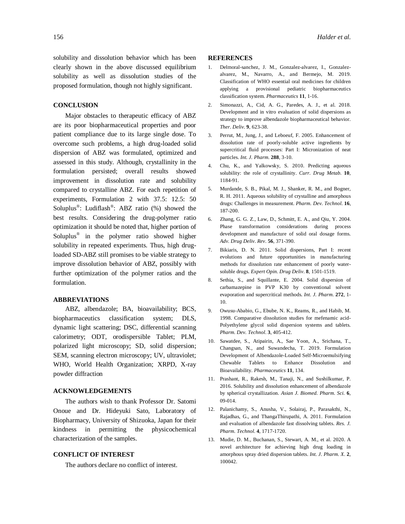solubility and dissolution behavior which has been clearly shown in the above discussed equilibrium solubility as well as dissolution studies of the proposed formulation, though not highly significant.

# **CONCLUSION**

Major obstacles to therapeutic efficacy of ABZ are its poor biopharmaceutical properties and poor patient compliance due to its large single dose. To overcome such problems, a high drug-loaded solid dispersion of ABZ was formulated, optimized and assessed in this study. Although, crystallinity in the formulation persisted; overall results showed improvement in dissolution rate and solubility compared to crystalline ABZ. For each repetition of experiments, Formulation 2 with 37.5: 12.5: 50 Soluplus<sup>®</sup>: Ludiflash<sup>®</sup>: ABZ ratio (%) showed the best results. Considering the drug-polymer ratio optimization it should be noted that, higher portion of Soluplus® in the polymer ratio showed higher solubility in repeated experiments. Thus, high drugloaded SD-ABZ still promises to be viable strategy to improve dissolution behavior of ABZ, possibly with further optimization of the polymer ratios and the formulation.

## **ABBREVIATIONS**

ABZ, albendazole; BA, bioavailability; BCS, biopharmaceutics classification system; DLS, dynamic light scattering; DSC, differential scanning calorimetry; ODT, orodispersible Tablet; PLM, polarized light microscopy; SD, solid dispersion; SEM, scanning electron microscopy; UV, ultraviolet; WHO, World Health Organization; XRPD, X-ray powder diffraction

#### **ACKNOWLEDGEMENTS**

The authors wish to thank Professor Dr. Satomi Onoue and Dr. Hideyuki Sato, Laboratory of Biopharmacy, University of Shizuoka, Japan for their kindness in permitting the physicochemical characterization of the samples.

## **CONFLICT OF INTEREST**

The authors declare no conflict of interest.

### **REFERENCES**

- 1. Delmoral-sanchez, J. M., Gonzalez-alvarez, I., Gonzalezalvarez, M., Navarro, A., and Bermejo, M. 2019. Classification of WHO essential oral medicines for children applying a provisional pediatric biopharmaceutics classification system. *Pharmaceutics* **11**, 1-16.
- 2. Simonazzi, A., Cid, A. G., Paredes, A. J., et al. 2018. Development and in vitro evaluation of solid dispersions as strategy to improve albendazole biopharmaceutical behavior. *Ther. Deliv.* **9**, 623-38.
- 3. Perrut, M., Jung, J., and Leboeuf, F. 2005. Enhancement of dissolution rate of poorly-soluble active ingredients by supercritical fluid processes: Part I: Micronization of neat particles. *Int. J. Pharm.* **288**, 3-10.
- 4. Chu, K., and Yalkowsky, S. 2010. Predicting aqueous solubility: the role of crystallinity. *Curr. Drug Metab.* **10**, 1184-91.
- 5. Murdande, S. B., Pikal, M. J., Shanker, R. M., and Bogner, R. H. 2011. Aqueous solubility of crystalline and amorphous drugs: Challenges in measurement. *Pharm. Dev. Technol*. **16**, 187-200.
- 6. Zhang, G. G. Z., Law, D., Schmitt, E. A., and Qiu, Y. 2004. Phase transformation considerations during process development and manufacture of solid oral dosage forms. *Adv. Drug Deliv. Rev*. **56**, 371-390.
- 7. Bikiaris, D. N. 2011. Solid dispersions, Part I: recent evolutions and future opportunities in manufacturing methods for dissolution rate enhancement of poorly watersoluble drugs. *Expert Opin. Drug Deliv*. **8**, 1501-1519.
- 8. Sethia, S., and Squillante, E. 2004. Solid dispersion of carbamazepine in PVP K30 by conventional solvent evaporation and supercritical methods. *Int. J. Pharm*. **272**, 1- 10.
- 9. Owusu-Ababio, G., Ebube, N. K., Reams, R., and Habib, M. 1998. Comparative dissolution studies for mefenamic acid-Polyethylene glycol solid dispersion systems and tablets. *Pharm. Dev. Technol*. **3**, 405-412.
- 10. Sawatdee, S., Atipairin, A., Sae Yoon, A., Srichana, T., Changsan, N., and Suwandecha, T. 2019. Formulation Development of Albendazole-Loaded Self-Microemulsifying Chewable Tablets to Enhance Dissolution and Bioavailability. *Pharmaceutics* **11**, 134.
- 11. Prashant, R., Rakesh, M., Tanaji, N., and Sushilkumar, P. 2016. Solubility and dissolution enhancement of albendazole by spherical crystallization. *Asian J. Biomed. Pharm. Sci.* **6**, 09-014.
- 12. Palanichamy, S., Anusha, V., Solairaj, P., Parasakthi, N., Rajadhas, G., and ThangaThirupathi, A. 2011. Formulation and evaluation of albendazole fast dissolving tablets. *Res. J. Pharm. Technol*. **4**, 1717-1720.
- 13. Mudie, D. M., Buchanan, S., Stewart, A. M., et al. 2020. A novel architecture for achieving high drug loading in amorphous spray dried dispersion tablets. *Int. J. Pharm. X*. **2**, 100042.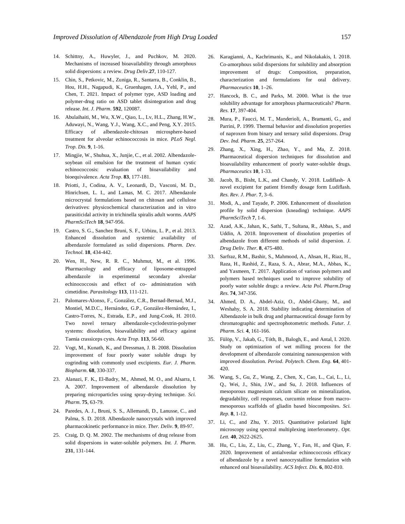- 14. Schittny, A., Huwyler, J., and Puchkov, M. 2020. Mechanisms of increased bioavailability through amorphous solid dispersions: a review. *Drug Deliv*.**27**, 110-127.
- 15. Chin, S., Petkovic, M., Zuniga, R., Santarra, B., Conklin, B., Hou, H.H., Nagapudi, K., Gruenhagen, J.A., Yehl, P., and Chen, T. 2021. Impact of polymer type, ASD loading and polymer-drug ratio on ASD tablet disintegration and drug release. *Int. J. Pharm*. **592**, 120087.
- 16. Abulaihaiti, M., Wu, X.W., Qiao, L., Lv, H.L., Zhang, H.W., Aduwayi, N., Wang, Y.J., Wang, X.C., and Peng, X.Y. 2015. Efficacy of albendazole-chitosan microsphere-based treatment for alveolar echinococcosis in mice. *PLoS Negl. Trop. Dis.* **9**, 1-16.
- 17. Mingjie, W., Shuhua, X., Junjie, C., et al. 2002. Albendazolesoybean oil emulsion for the treatment of human cystic echinococcosis: evaluation of bioavailability and bioequivalence. *Acta Trop*. **83**, 177-181.
- 18. Priotti, J., Codina, A. V., Leonardi, D., Vasconi, M. D., Hinrichsen, L. I., and Lamas, M. C. 2017. Albendazole microcrystal formulations based on chitosan and cellulose derivatives: physicochemical characterization and in vitro parasiticidal activity in trichinella spiralis adult worms. *AAPS PharmSciTech* **18**, 947-956.
- 19. Castro, S. G., Sanchez Bruni, S. F., Urbizu, L. P., et al. 2013. Enhanced dissolution and systemic availability of albendazole formulated as solid dispersions. *Pharm. Dev. Technol*. **18**, 434-442.
- 20. Wen, H., New, R. R. C., Muhmut, M., et al. 1996. Pharmacology and efficacy of liposome-entrapped albendazole in experimental secondary alveolar echinococcosis and effect of co- administration with cimetidine. *Parasitology* **113**, 111-121.
- 21. Palomares-Alonso, F., González, C.R., Bernad-Bernad, M.J., Montiel, M.D.C., Hernández, G.P., González-Hernández, I., Castro-Torres, N., Estrada, E.P., and Jung-Cook, H. 2010. Two novel ternary albendazole-cyclodextrin-polymer systems: dissolution, bioavailability and efficacy against Taenia crassiceps cysts. *Acta Trop.* **113**, 56-60.
- 22. Vogt, M., Kunath, K., and Dressman, J. B. 2008. Dissolution improvement of four poorly water soluble drugs by cogrinding with commonly used excipients. *Eur. J. Pharm. Biopharm*. **68**, 330-337.
- 23. Alanazi, F. K., El-Badry, M., Ahmed, M. O., and Alsarra, I. A. 2007. Improvement of albendazole dissolution by preparing microparticles using spray-drying technique. *Sci. Pharm*. **75**, 63-79.
- 24. Paredes, A. J., Bruni, S. S., Allemandi, D., Lanusse, C., and Palma, S. D. 2018. Albendazole nanocrystals with improved pharmacokinetic performance in mice. *Ther. Deliv*. **9**, 89-97.
- 25. Craig, D. Q. M. 2002. The mechanisms of drug release from solid dispersions in water-soluble polymers. *Int. J. Pharm*. **231**, 131-144.
- 26. Karagianni, A., Kachrimanis, K., and Nikolakakis, I. 2018. Co-amorphous solid dispersions for solubility and absorption improvement of drugs: Composition, preparation, characterization and formulations for oral delivery. *Pharmaceutics* **10**, 1–26.
- 27. Hancock, B. C., and Parks, M. 2000. What is the true solubility advantage for amorphous pharmaceuticals? *Pharm. Res.* **17**, 397-404.
- 28. Mura, P., Faucci, M. T., Manderioli, A., Bramanti, G., and Parrini, P. 1999. Thermal behavior and dissolution properties of naproxen from binary and ternary solid dispersions. *Drug Dev. Ind. Pharm*. **25**, 257-264.
- 29. Zhang, X., Xing, H., Zhao, Y., and Ma, Z. 2018. Pharmaceutical dispersion techniques for dissolution and bioavailability enhancement of poorly water-soluble drugs. *Pharmaceutics* **10**, 1-33.
- 30. Jacob, B., Bisht, L.K., and Chandy, V. 2018. Ludiflash- A novel excipient for patient friendly dosage form Ludiflash. *Res. Rev. J. Phar.* **7**, 3–6.
- 31. Modi, A., and Tayade, P. 2006. Enhancement of dissolution profile by solid dispersion (kneading) technique. *AAPS PharmSciTech* **7**, 1-6.
- 32. Azad, A.K., Jahan, K., Sathi, T., Sultana, R., Abbas, S., and Uddin, A. 2018. Improvement of dissolution properties of albendazole from different methods of solid dispersion. *J. Drug Deliv. Ther.* **8**, 475-480.
- 33. Sarfraz, R.M., Bashir, S., Mahmood, A., Ahsan, H., Riaz, H., Raza, H., Rashid, Z., Raza, S. A., Abrar, M.A., Abbas, K., and Yasmeen, T. 2017. Application of various polymers and polymers based techniques used to improve solubility of poorly water soluble drugs: a review. *Acta Pol. Pharm.Drug Res.* **74**, 347-356.
- 34. Ahmed, D. A., Abdel-Aziz, O., Abdel-Ghany, M., and Weshahy, S. A. 2018. Stability indicating determination of Albendazole in bulk drug and pharmaceutical dosage form by chromatographic and spectrophotometric methods. *Futur. J. Pharm. Sci.* **4**, 161-166.
- 35. Fülöp, V., Jakab, G., Tóth, B., Balogh, E., and Antal, I. 2020. Study on optimization of wet milling process for the development of albendazole containing nanosuspension with improved dissolution. *Period. Polytech. Chem. Eng.* **64**, 401- 420.
- 36. Wang, S., Gu, Z., Wang, Z., Chen, X., Cao, L., Cai, L., Li, Q., Wei, J., Shin, J.W., and Su, J. 2018. Influences of mesoporous magnesium calcium silicate on mineralization, degradability, cell responses, curcumin release from macromesoporous scaffolds of gliadin based biocomposites. *Sci. Rep.* **8**, 1-12.
- 37. Li, C., and Zhu, Y. 2015. Quantitative polarized light microscopy using spectral multiplexing interferometry. *Opt. Lett.* **40**, 2622-2625.
- 38. Hu, C., Liu, Z., Liu, C., Zhang, Y., Fan, H., and Qian, F. 2020. Improvement of antialveolar echinococcosis efficacy of albendazole by a novel nanocrystalline formulation with enhanced oral bioavailability. *ACS Infect. Dis.* **6**, 802-810.